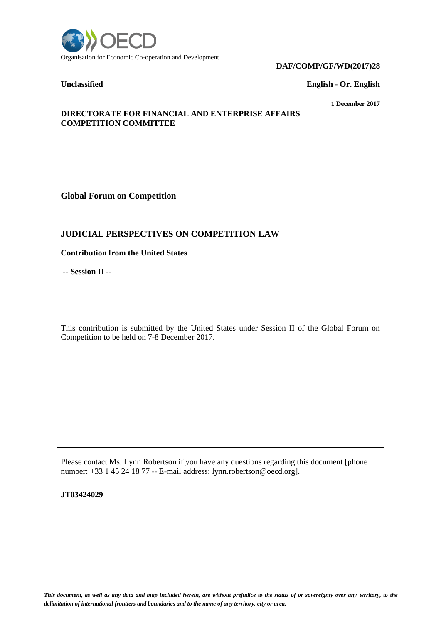

# **DAF/COMP/GF/WD(2017)28**

**Unclassified English - Or. English**

#### **1 December 2017**

### **DIRECTORATE FOR FINANCIAL AND ENTERPRISE AFFAIRS COMPETITION COMMITTEE**

**Global Forum on Competition**

# **JUDICIAL PERSPECTIVES ON COMPETITION LAW**

**Contribution from the United States**

**-- Session II --**

This contribution is submitted by the United States under Session II of the Global Forum on Competition to be held on 7-8 December 2017.

Please contact Ms. Lynn Robertson if you have any questions regarding this document [phone number: +33 1 45 24 18 77 -- E-mail address: lynn.robertson@oecd.org].

**JT03424029**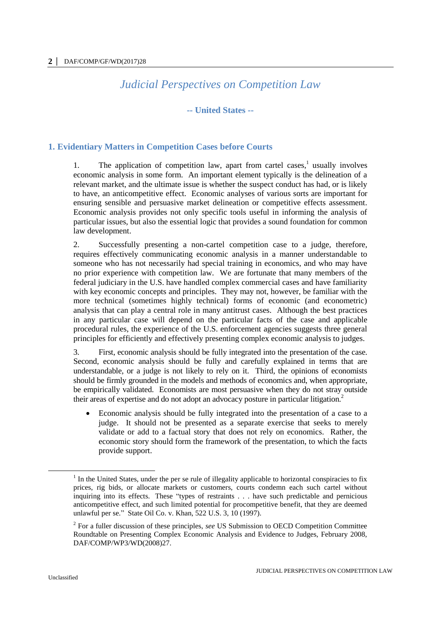# *Judicial Perspectives on Competition Law*

### **-- United States --**

# **1. Evidentiary Matters in Competition Cases before Courts**

1. The application of competition law, apart from cartel cases,<sup>1</sup> usually involves economic analysis in some form. An important element typically is the delineation of a relevant market, and the ultimate issue is whether the suspect conduct has had, or is likely to have, an anticompetitive effect. Economic analyses of various sorts are important for ensuring sensible and persuasive market delineation or competitive effects assessment. Economic analysis provides not only specific tools useful in informing the analysis of particular issues, but also the essential logic that provides a sound foundation for common law development.

2. Successfully presenting a non-cartel competition case to a judge, therefore, requires effectively communicating economic analysis in a manner understandable to someone who has not necessarily had special training in economics, and who may have no prior experience with competition law. We are fortunate that many members of the federal judiciary in the U.S. have handled complex commercial cases and have familiarity with key economic concepts and principles. They may not, however, be familiar with the more technical (sometimes highly technical) forms of economic (and econometric) analysis that can play a central role in many antitrust cases. Although the best practices in any particular case will depend on the particular facts of the case and applicable procedural rules, the experience of the U.S. enforcement agencies suggests three general principles for efficiently and effectively presenting complex economic analysis to judges.

3. First, economic analysis should be fully integrated into the presentation of the case. Second, economic analysis should be fully and carefully explained in terms that are understandable, or a judge is not likely to rely on it. Third, the opinions of economists should be firmly grounded in the models and methods of economics and, when appropriate, be empirically validated. Economists are most persuasive when they do not stray outside their areas of expertise and do not adopt an advocacy posture in particular litigation.<sup>2</sup>

 Economic analysis should be fully integrated into the presentation of a case to a judge. It should not be presented as a separate exercise that seeks to merely validate or add to a factual story that does not rely on economics. Rather, the economic story should form the framework of the presentation, to which the facts provide support.

 $<sup>1</sup>$  In the United States, under the per se rule of illegality applicable to horizontal conspiracies to fix</sup> prices, rig bids, or allocate markets or customers, courts condemn each such cartel without inquiring into its effects. These "types of restraints . . . have such predictable and pernicious anticompetitive effect, and such limited potential for procompetitive benefit, that they are deemed unlawful per se." State Oil Co. v. Khan, 522 U.S. 3, 10 (1997).

<sup>2</sup> For a fuller discussion of these principles, *see* US Submission to OECD Competition Committee Roundtable on Presenting Complex Economic Analysis and Evidence to Judges, February 2008, DAF/COMP/WP3/WD(2008)27.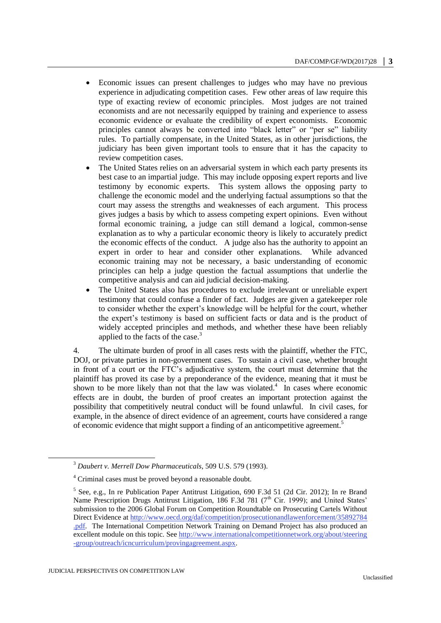- Economic issues can present challenges to judges who may have no previous experience in adjudicating competition cases. Few other areas of law require this type of exacting review of economic principles. Most judges are not trained economists and are not necessarily equipped by training and experience to assess economic evidence or evaluate the credibility of expert economists. Economic principles cannot always be converted into "black letter" or "per se" liability rules. To partially compensate, in the United States, as in other jurisdictions, the judiciary has been given important tools to ensure that it has the capacity to review competition cases.
- The United States relies on an adversarial system in which each party presents its best case to an impartial judge. This may include opposing expert reports and live testimony by economic experts. This system allows the opposing party to challenge the economic model and the underlying factual assumptions so that the court may assess the strengths and weaknesses of each argument. This process gives judges a basis by which to assess competing expert opinions. Even without formal economic training, a judge can still demand a logical, common-sense explanation as to why a particular economic theory is likely to accurately predict the economic effects of the conduct. A judge also has the authority to appoint an expert in order to hear and consider other explanations. While advanced economic training may not be necessary, a basic understanding of economic principles can help a judge question the factual assumptions that underlie the competitive analysis and can aid judicial decision-making.
- The United States also has procedures to exclude irrelevant or unreliable expert testimony that could confuse a finder of fact. Judges are given a gatekeeper role to consider whether the expert's knowledge will be helpful for the court, whether the expert's testimony is based on sufficient facts or data and is the product of widely accepted principles and methods, and whether these have been reliably applied to the facts of the case.<sup>3</sup>

4. The ultimate burden of proof in all cases rests with the plaintiff, whether the FTC, DOJ, or private parties in non-government cases. To sustain a civil case, whether brought in front of a court or the FTC's adjudicative system, the court must determine that the plaintiff has proved its case by a preponderance of the evidence, meaning that it must be shown to be more likely than not that the law was violated.<sup>4</sup> In cases where economic effects are in doubt, the burden of proof creates an important protection against the possibility that competitively neutral conduct will be found unlawful. In civil cases, for example, in the absence of direct evidence of an agreement, courts have considered a range of economic evidence that might support a finding of an anticompetitive agreement.<sup>5</sup>

<sup>3</sup> *Daubert v. Merrell Dow Pharmaceuticals*, 509 U.S. 579 (1993).

<sup>4</sup> Criminal cases must be proved beyond a reasonable doubt.

<sup>&</sup>lt;sup>5</sup> See, e.g., In re Publication Paper Antitrust Litigation, 690 F.3d 51 (2d Cir. 2012); In re Brand Name Prescription Drugs Antitrust Litigation, 186 F.3d 781 (7<sup>th</sup> Cir. 1999); and United States' submission to the 2006 Global Forum on Competition Roundtable on Prosecuting Cartels Without Direct Evidence at [http://www.oecd.org/daf/competition/prosecutionandlawenforcement/35892784](http://www.oecd.org/daf/competition/prosecutionandlawenforcement/35892784.pdf) [.pdf.](http://www.oecd.org/daf/competition/prosecutionandlawenforcement/35892784.pdf) The International Competition Network Training on Demand Project has also produced an excellent module on this topic. See [http://www.internationalcompetitionnetwork.org/about/steering](http://www.internationalcompetitionnetwork.org/about/steering-group/outreach/icncurriculum/provingagreement.aspx) [-group/outreach/icncurriculum/provingagreement.aspx.](http://www.internationalcompetitionnetwork.org/about/steering-group/outreach/icncurriculum/provingagreement.aspx)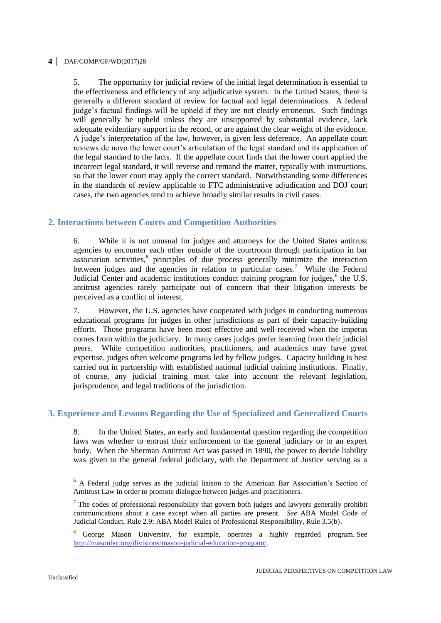#### **4 │** DAF/COMP/GF/WD(2017)28

5. The opportunity for judicial review of the initial legal determination is essential to the effectiveness and efficiency of any adjudicative system. In the United States, there is generally a different standard of review for factual and legal determinations. A federal judge's factual findings will be upheld if they are not clearly erroneous. Such findings will generally be upheld unless they are unsupported by substantial evidence, lack adequate evidentiary support in the record, or are against the clear weight of the evidence. A judge's interpretation of the law, however, is given less deference. An appellate court reviews de novo the lower court's articulation of the legal standard and its application of the legal standard to the facts. If the appellate court finds that the lower court applied the incorrect legal standard, it will reverse and remand the matter, typically with instructions, so that the lower court may apply the correct standard. Notwithstanding some differences in the standards of review applicable to FTC administrative adjudication and DOJ court cases, the two agencies tend to achieve broadly similar results in civil cases.

# **2. Interactions between Courts and Competition Authorities**

6. While it is not unusual for judges and attorneys for the United States antitrust agencies to encounter each other outside of the courtroom through participation in bar association activities,<sup>6</sup> principles of due process generally minimize the interaction between judges and the agencies in relation to particular cases.<sup>7</sup> While the Federal Judicial Center and academic institutions conduct training program for judges, $^8$  the U.S. antitrust agencies rarely participate out of concern that their litigation interests be perceived as a conflict of interest.

7. However, the U.S. agencies have cooperated with judges in conducting numerous educational programs for judges in other jurisdictions as part of their capacity-building efforts. Those programs have been most effective and well-received when the impetus comes from within the judiciary. In many cases judges prefer learning from their judicial peers. While competition authorities, practitioners, and academics may have great expertise, judges often welcome programs led by fellow judges. Capacity building is best carried out in partnership with established national judicial training institutions. Finally, of course, any judicial training must take into account the relevant legislation, jurisprudence, and legal traditions of the jurisdiction.

# **3. Experience and Lessons Regarding the Use of Specialized and Generalized Courts**

8. In the United States, an early and fundamental question regarding the competition laws was whether to entrust their enforcement to the general judiciary or to an expert body. When the Sherman Antitrust Act was passed in 1890, the power to decide liability was given to the general federal judiciary, with the Department of Justice serving as a

<sup>&</sup>lt;sup>6</sup> A Federal judge serves as the judicial liaison to the American Bar Association's Section of Antitrust Law in order to promote dialogue between judges and practitioners.

 $<sup>7</sup>$  The codes of professional responsibility that govern both judges and lawyers generally prohibit</sup> communications about a case except when all parties are present. *See* ABA Model Code of Judicial Conduct, Rule 2.9; ABA Model Rules of Professional Responsibility, Rule 3.5(b).

<sup>8</sup> George Mason University, for example, operates a highly regarded program. See [http://masonlec.org/divisions/mason-judicial-education-program/.](http://masonlec.org/divisions/mason-judicial-education-program/)